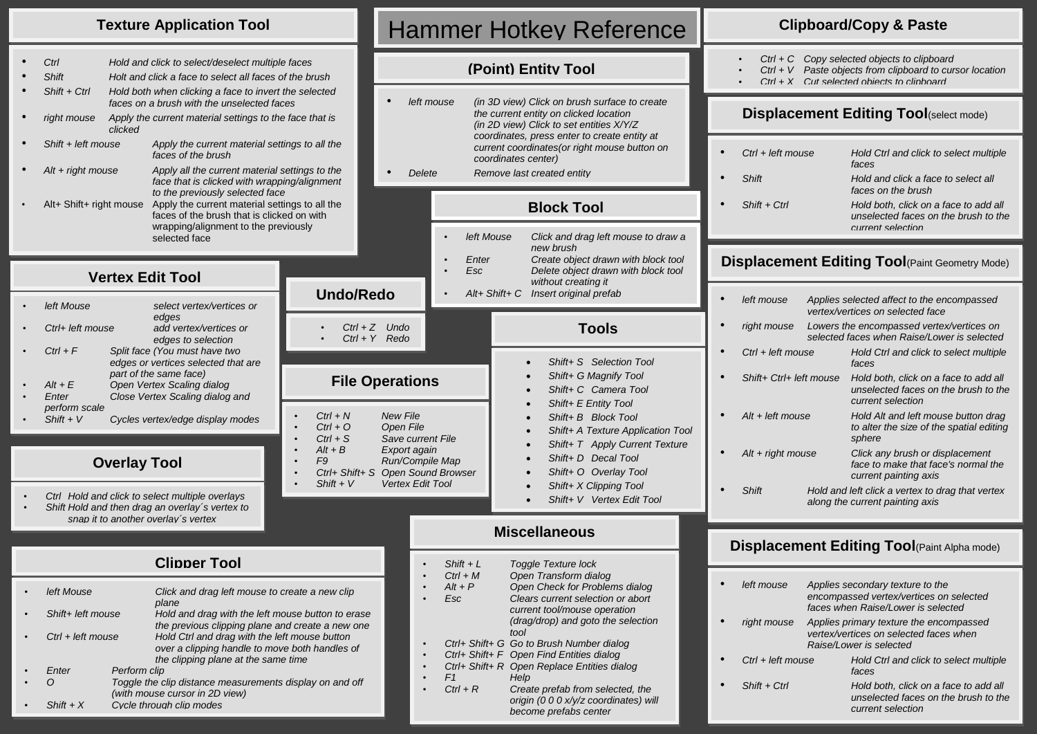### **Texture Application Tool**

| Ctrl                         |         | Hold and click to select/deselect multiple faces                                                                                                      |                               |          |
|------------------------------|---------|-------------------------------------------------------------------------------------------------------------------------------------------------------|-------------------------------|----------|
| <b>Shift</b>                 |         | Holt and click a face to select all faces of the brush                                                                                                |                               |          |
| $Shift + Crit$               |         | Hold both when clicking a face to invert the selected<br>faces on a brush with the unselected faces                                                   |                               |          |
| right mouse                  | clicked | Apply the current material settings to the face that is                                                                                               |                               |          |
| Shift + left mouse           |         | Apply the current material settings to all the<br>faces of the brush                                                                                  |                               |          |
| $Alt + right$ mouse          |         | Apply all the current material settings to the<br>face that is clicked with wrapping/alignment<br>to the previously selected face                     |                               |          |
| Alt+ Shift+ right mouse      |         | Apply the current material settings to all the<br>faces of the brush that is clicked on with<br>wrapping/alignment to the previously<br>selected face |                               |          |
|                              |         | <b>Vertex Edit Tool</b>                                                                                                                               | <b>Undo/Redo</b>              |          |
| left Mouse                   |         | select vertex/vertices or                                                                                                                             |                               |          |
| Ctrl+ left mouse             |         | edges<br>add vertex/vertices or<br>edges to selection                                                                                                 | $Ctrl + Z$ U<br>$Ctrl + Y$ Re |          |
| $Ctrl + F$                   |         |                                                                                                                                                       |                               |          |
|                              |         | Split face (You must have two<br>edges or vertices selected that are                                                                                  |                               |          |
| $Alt + E$<br>Enter           |         | part of the same face)<br>Open Vertex Scaling dialog<br>Close Vertex Scaling dialog and                                                               | <b>File Oper</b>              |          |
| perform scale<br>$Shift + V$ |         | Cycles vertex/edge display modes                                                                                                                      | $Ctrl + N$<br>$Ctrl + O$      | Ne<br>Op |
|                              |         |                                                                                                                                                       | $Ctrl + S$<br>$Alt + R$       | Sa<br>Fx |

### **Overlay Tool**

- *Ctrl Hold and click to select multiple overlays*
- *Shift Hold and then drag an overlay´s vertex to snap it to another overlay´s vertex*

|                            |              | <b>Clipper Tool</b>                                                                                                                    |  |  |
|----------------------------|--------------|----------------------------------------------------------------------------------------------------------------------------------------|--|--|
| left Mouse                 |              | Click and drag left mouse to create a new clip<br>plane                                                                                |  |  |
| Shift+ left mouse          |              | Hold and drag with the left mouse button to erase<br>the previous clipping plane and create a new one                                  |  |  |
| $Ctrl + left mouse$        |              | Hold Ctrl and drag with the left mouse button<br>over a clipping handle to move both handles of<br>the clipping plane at the same time |  |  |
| <b><i><u>Enter</u></i></b> | Perform clip |                                                                                                                                        |  |  |
|                            |              | Toggle the clip distance measurements display on and off<br>(with mouse cursor in 2D view)                                             |  |  |
| $Shift + X$                |              | Cycle through clip modes                                                                                                               |  |  |
|                            |              |                                                                                                                                        |  |  |

# Hammer Hotkey Reference

## **(Point) Entity Tool**

| left mouse | (in 3D view) Click on brush surface to create<br>the current entity on clicked location<br>(in 2D view) Click to set entities X/Y/Z<br>coordinates, press enter to create entity at<br>current coordinates (or right mouse button on<br>coordinates center) |
|------------|-------------------------------------------------------------------------------------------------------------------------------------------------------------------------------------------------------------------------------------------------------------|
| Delete     | Remove last created entity                                                                                                                                                                                                                                  |
|            | <b>Block Tool</b>                                                                                                                                                                                                                                           |
|            |                                                                                                                                                                                                                                                             |

### • *left Mouse Click and drag left mouse to draw a new brush* • *Enter Create object drawn with block tool* • *Esc Delete object drawn with block tool without creating it* • *Alt+ Shift+ C Insert original prefab*

 *Shift+ E Entity Tool Shift+ B Block Tool*

 *Shift+ D Decal Tool Shift+ O Overlay Tool Shift+ X Clipping Tool Shift+ V Vertex Edit Tool*

 *Shift+ A Texture Application Tool Shift+ T Apply Current Texture*

### **Tools** *Shift+ S Selection Tool Shift+ G Magnify Tool Shift+ C Camera Tool* • *Ctrl + Z Undo* • *Ctrl + Y Redo* **File Operations**

- 
- *Ctrl + N New File* • *Ctrl + O Open File*
- *Ctrl + S Save current File*
- *Alt + B Export again*
- *F9 Run/Compile Map* • *Ctrl+ Shift+ S Open Sound Browser*
- *Shift + V Vertex Edit Tool*

### **Miscellaneous**

|  | $Shift + L$    | <b>Toggle Texture lock</b>                  |
|--|----------------|---------------------------------------------|
|  | $Ctrl + M$     | Open Transform dialog                       |
|  | $Alt + P$      | Open Check for Problems dialog              |
|  | Esc            | Clears current selection or abort           |
|  |                | current tool/mouse operation                |
|  |                | (drag/drop) and goto the selection          |
|  |                | tool                                        |
|  |                | Ctrl+ Shift+ G Go to Brush Number dialog    |
|  |                | Ctrl+ Shift+ F Open Find Entities dialog    |
|  |                | Ctrl+ Shift+ R Open Replace Entities dialog |
|  | F <sub>1</sub> | Help                                        |
|  | $Ctrl + R$     | Create prefab from selected, the            |
|  |                | origin (0 0 0 x/y/z coordinates) will       |
|  |                | become prefabs center                       |

### **Clipboard/Copy & Paste**

• *Ctrl + C Copy selected objects to clipboard*

- *Ctrl + V Paste objects from clipboard to cursor location*
- *Ctrl + X Cut selected objects to clipboard*

## **Displacement Editing Tool(select mode)**

| $\bullet$ | $Shift + Crit$      | Hold both, click on a face to add all<br>unselected faces on the brush to the<br>current selection |
|-----------|---------------------|----------------------------------------------------------------------------------------------------|
| $\bullet$ | Shift               | Hold and click a face to select all<br>faces on the brush                                          |
| $\bullet$ | $Ctrl + left mouse$ | Hold Ctrl and click to select multiple<br>faces                                                    |
|           |                     |                                                                                                    |

### **Displacement Editing Tool(Paint Geometry Mode)**

| $\bullet$ | left mouse                  |  | Applies selected affect to the encompassed<br>vertex/vertices on selected face                     |  |  |
|-----------|-----------------------------|--|----------------------------------------------------------------------------------------------------|--|--|
| $\bullet$ | right mouse                 |  | Lowers the encompassed vertex/vertices on<br>selected faces when Raise/Lower is selected           |  |  |
| $\bullet$ | Ctrl + left mouse           |  | Hold Ctrl and click to select multiple<br>faces                                                    |  |  |
| $\bullet$ | Shift+ Ctrl+ left mouse     |  | Hold both, click on a face to add all<br>unselected faces on the brush to the<br>current selection |  |  |
|           | $\Delta H$ $\mu$ loft mound |  | $Hold$ $Alt$ and $left$ mauna button drag                                                          |  |  |

- *Alt + left mouse Hold Alt and left mouse button drag to alter the size of the spatial editing sphere* • *Alt + right mouse Click any brush or displacement* 
	- *face to make that face's normal the current painting axis*
- *Shift Hold and left click a vertex to drag that vertex along the current painting axis*

### **Displacement Editing Tool**(Paint Alpha mode)

| left mouse          | Applies secondary texture to the<br>encompassed vertex/vertices on selected<br>faces when Raise/Lower is selected |  |
|---------------------|-------------------------------------------------------------------------------------------------------------------|--|
| right mouse         | Applies primary texture the encompassed<br>vertex/vertices on selected faces when<br>Raise/Lower is selected      |  |
| $Ctrl + left mouse$ | Hold Ctrl and click to select multiple<br>faces                                                                   |  |
| $Shift + Crit$      | Hold both, click on a face to add all<br>unselected faces on the brush to the<br>current selection                |  |